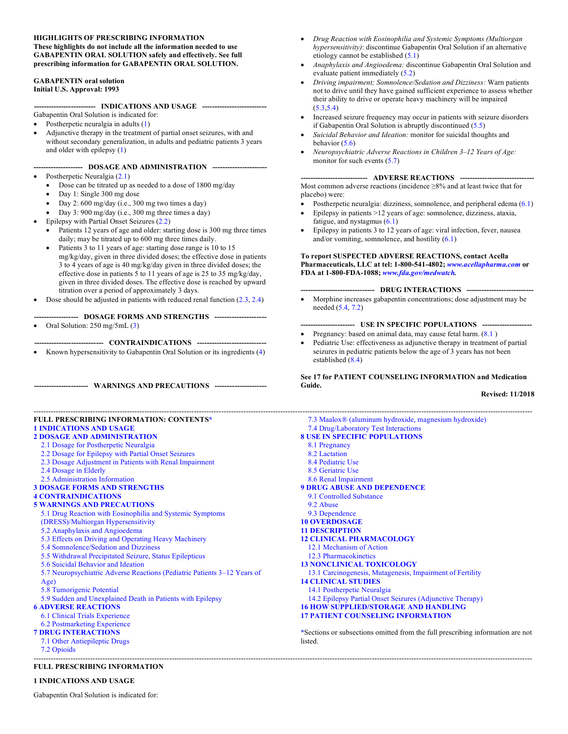#### **HIGHLIGHTS OF PRESCRIBING INFORMATION These highlights do not include all the information needed to use GABAPENTIN ORAL SOLUTION safely and effectively. See full prescribing information for GABAPENTIN ORAL SOLUTION.**

# **GABAPENTIN oral solution Initial U.S. Approval: 1993**

**------------------------- INDICATIONS AND USAGE --------------------------**

Gabapentin Oral Solution is indicated for:

- Postherpetic neuralgia in adults (1)
- Adjunctive therapy in the treatment of partial onset seizures, with and without secondary generalization, in adults and pediatric patients 3 years and older with epilepsy (1)

# **-------------------- DOSAGE AND ADMINISTRATION ----------------------**

- Postherpetic Neuralgia (2.1)
	- Dose can be titrated up as needed to a dose of 1800 mg/day
	- Day 1: Single 300 mg dose
	- Day 2:  $600 \text{ mg/day}$  (i.e., 300 mg two times a day)
	- Day 3: 900 mg/day (i.e., 300 mg three times a day)
- Epilepsy with Partial Onset Seizures (2.2)
	- Patients 12 years of age and older: starting dose is 300 mg three times daily; may be titrated up to 600 mg three times daily.
	- Patients 3 to 11 years of age: starting dose range is 10 to 15 mg/kg/day, given in three divided doses; the effective dose in patients 3 to 4 years of age is 40 mg/kg/day given in three divided doses; the effective dose in patients 5 to 11 years of age is 25 to 35 mg/kg/day, given in three divided doses. The effective dose is reached by upward titration over a period of approximately 3 days.
- Dose should be adjusted in patients with reduced renal function  $(2.3, 2.4)$
- **------------------ DOSAGE FORMS AND STRENGTHS ---------------------**
- Oral Solution:  $250 \text{ mg}/5 \text{m}$ L $(3)$

**---------------------------- CONTRAINDICATIONS ----------------------------**

• Known hypersensitivity to Gabapentin Oral Solution or its ingredients (4)

**---------------------- WARNINGS AND PRECAUTIONS ---------------------**

# **FULL PRESCRIBING INFORMATION: CONTENTS\* 1 INDICATIONS AND USAGE**

- **2 DOSAGE AND ADMINISTRATION**
- 2.1 Dosage for Postherpetic Neuralgia
- 2.2 Dosage for Epilepsy with Partial Onset Seizures
- 2.3 Dosage Adjustment in Patients with Renal Impairment
- 2.4 Dosage in Elderly
- 2.5 Administration Information
- **3 DOSAGE FORMS AND STRENGTHS**
- **4 CONTRAINDICATIONS**

# **5 WARNINGS AND PRECAUTIONS**

- 5.1 Drug Reaction with Eosinophilia and Systemic Symptoms
- (DRESS)/Multiorgan Hypersensitivity
- 5.2 Anaphylaxis and Angioedema
- 5.3 Effects on Driving and Operating Heavy Machinery
- 5.4 Somnolence/Sedation and Dizziness
- 5.5 Withdrawal Precipitated Seizure, Status Epilepticus
- 5.6 Suicidal Behavior and Ideation
- 5.7 Neuropsychiatric Adverse Reactions (Pediatric Patients 3–12 Years of Age)
- 5.8 Tumorigenic Potential
- 5.9 Sudden and Unexplained Death in Patients with Epilepsy
- **6 ADVERSE REACTIONS**
- 6.1 Clinical Trials Experience
- 6.2 Postmarketing Experience
- **7 DRUG INTERACTIONS**
- 7.1 Other Antiepileptic Drugs
- 7.2 Opioids ----------------------------------------------------------------------------------------------------------------------------------------------------------------------------------------------------------

# **FULL PRESCRIBING INFORMATION**

# **1 INDICATIONS AND USAGE**

Gabapentin Oral Solution is indicated for:

- *Drug Reaction with Eosinophilia and Systemic Symptoms (Multiorgan hypersensitivity)*: discontinue Gabapentin Oral Solution if an alternative etiology cannot be established (5.1)
- *Anaphylaxis and Angioedema:* discontinue Gabapentin Oral Solution and evaluate patient immediately (5.2)
- *Driving impairment; Somnolence/Sedation and Dizziness:* Warn patients not to drive until they have gained sufficient experience to assess whether their ability to drive or operate heavy machinery will be impaired  $(5.3,5.4)$
- Increased seizure frequency may occur in patients with seizure disorders if Gabapentin Oral Solution is abruptly discontinued (5.5)
- *Suicidal Behavior and Ideation:* monitor for suicidal thoughts and behavior  $(5.6)$
- *Neuropsychiatric Adverse Reactions in Children 3–12 Years of Age:* monitor for such events  $(5.7)$

# --- ADVERSE REACTIONS ---

Most common adverse reactions (incidence ≥8% and at least twice that for placebo) were:

- Postherpetic neuralgia: dizziness, somnolence, and peripheral edema (6.1)
- Epilepsy in patients >12 years of age: somnolence, dizziness, ataxia, fatigue, and nystagmus (6.1)
- Epilepsy in patients 3 to 12 years of age: viral infection, fever, nausea and/or vomiting, somnolence, and hostility (6.1)

# **To report SUSPECTED ADVERSE REACTIONS, contact Acella Pharmaceuticals, LLC at tel: 1-800-541-4802;** *www.acellapharma.com* **or FDA at 1-800-FDA-1088;** *www.fda.gov/medwatch.*

# **------------------------------ DRUG INTERACTIONS ---------------------------**

• Morphine increases gabapentin concentrations; dose adjustment may be needed (5.4, 7.2)

# **---------------------- USE IN SPECIFIC POPULATIONS --------------------**

- Pregnancy: based on animal data, may cause fetal harm.  $(8.1)$
- Pediatric Use: effectiveness as adjunctive therapy in treatment of partial seizures in pediatric patients below the age of 3 years has not been established (8.4)

# **See 17 for PATIENT COUNSELING INFORMATION and Medication Guide.**

**Revised: 11/2018**

---------------------------------------------------------------------------------------------------------------------------------------------------------------------------------------------------------- 7.3 Maalox® (aluminum hydroxide, magnesium hydroxide) 7.4 Drug/Laboratory Test Interactions **8 USE IN SPECIFIC POPULATIONS** 8.1 Pregnancy 8.2 Lactation 8.4 Pediatric Use 8.5 Geriatric Use 8.6 Renal Impairment **9 DRUG ABUSE AND DEPENDENCE** 9.1 Controlled Substance 9.2 Abuse 9.3 Dependence **10 OVERDOSAGE 11 DESCRIPTION 12 CLINICAL PHARMACOLOGY** 12.1 Mechanism of Action 12.3 Pharmacokinetics **13 NONCLINICAL TOXICOLOGY** 13.1 Carcinogenesis, Mutagenesis, Impairment of Fertility **14 CLINICAL STUDIES** 14.1 Postherpetic Neuralgia 14.2 Epilepsy Partial Onset Seizures (Adjunctive Therapy) **16 HOW SUPPLIED/STORAGE AND HANDLING 17 PATIENT COUNSELING INFORMATION** \*Sections or subsections omitted from the full prescribing information are not **listed**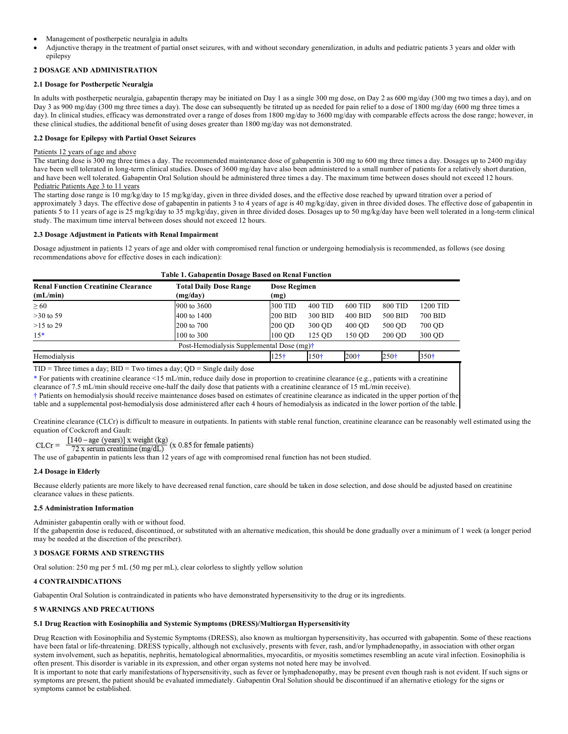- Management of postherpetic neuralgia in adults
- Adjunctive therapy in the treatment of partial onset seizures, with and without secondary generalization, in adults and pediatric patients 3 years and older with epilepsy

# **2 DOSAGE AND ADMINISTRATION**

# **2.1 Dosage for Postherpetic Neuralgia**

In adults with postherpetic neuralgia, gabapentin therapy may be initiated on Day 1 as a single 300 mg dose, on Day 2 as 600 mg/day (300 mg two times a day), and on Day 3 as 900 mg/day (300 mg three times a day). The dose can subsequently be titrated up as needed for pain relief to a dose of 1800 mg/day (600 mg three times a day). In clinical studies, efficacy was demonstrated over a range of doses from 1800 mg/day to 3600 mg/day with comparable effects across the dose range; however, in these clinical studies, the additional benefit of using doses greater than 1800 mg/day was not demonstrated.

# **2.2 Dosage for Epilepsy with Partial Onset Seizures**

# Patients 12 years of age and above

The starting dose is 300 mg three times a day. The recommended maintenance dose of gabapentin is 300 mg to 600 mg three times a day. Dosages up to 2400 mg/day have been well tolerated in long-term clinical studies. Doses of 3600 mg/day have also been administered to a small number of patients for a relatively short duration, and have been well tolerated. Gabapentin Oral Solution should be administered three times a day. The maximum time between doses should not exceed 12 hours. Pediatric Patients Age 3 to 11 years

The starting dose range is 10 mg/kg/day to 15 mg/kg/day, given in three divided doses, and the effective dose reached by upward titration over a period of approximately 3 days. The effective dose of gabapentin in patients 3 to 4 years of age is 40 mg/kg/day, given in three divided doses. The effective dose of gabapentin in patients 5 to 11 years of age is 25 mg/kg/day to 35 mg/kg/day, given in three divided doses. Dosages up to 50 mg/kg/day have been well tolerated in a long-term clinical study. The maximum time interval between doses should not exceed 12 hours.

# **2.3 Dosage Adjustment in Patients with Renal Impairment**

Dosage adjustment in patients 12 years of age and older with compromised renal function or undergoing hemodialysis is recommended, as follows (see dosing recommendations above for effective doses in each indication):

| Table 1. Gabapentin Dosage Based on Renal Function     |                                           |                             |         |         |         |          |
|--------------------------------------------------------|-------------------------------------------|-----------------------------|---------|---------|---------|----------|
| <b>Renal Function Creatinine Clearance</b><br>(mL/min) | <b>Total Daily Dose Range</b><br>(mg/day) | <b>Dose Regimen</b><br>(mg) |         |         |         |          |
| $\geq 60$                                              | $900 \text{ to } 3600$                    | 300 TID                     | 400 TID | 600 TID | 800 TID | 1200 TID |
| $>30$ to 59                                            | 400 to 1400                               | 200 BID                     | 300 BID | 400 BID | 500 BID | 700 BID  |
| $>15$ to 29                                            | 200 to 700                                | 200 OD                      | 300 QD  | 400 OD  | 500 QD  | 700 QD   |
| $15*$                                                  | 100 to 300                                | $100$ OD                    | 125 OD  | 150 OD  | 200 OD  | 300 QD   |
| Post-Hemodialysis Supplemental Dose (mg) <sup>†</sup>  |                                           |                             |         |         |         |          |
| Hemodialysis                                           |                                           | 125†                        | 150†    | $200+$  | 250†    | 350†     |

 $TID = Three times a day; BID = Two times a day; QD = Single daily dose$ 

\* For patients with creatinine clearance <15 mL/min, reduce daily dose in proportion to creatinine clearance (e.g., patients with a creatinine

clearance of 7.5 mL/min should receive one-half the daily dose that patients with a creatinine clearance of 15 mL/min receive).

† Patients on hemodialysis should receive maintenance doses based on estimates of creatinine clearance as indicated in the upper portion of the

table and a supplemental post-hemodialysis dose administered after each 4 hours of hemodialysis as indicated in the lower portion of the table.

Creatinine clearance (CLCr) is difficult to measure in outpatients. In patients with stable renal function, creatinine clearance can be reasonably well estimated using the equation of Cockcroft and Gault:

 $\frac{[140 - \text{age (years)}] x \text{ weight (kg)}}{72 x \text{ serum creation}(mg/dL)}$  (x 0.85 for female patients)  $CLCr =$ 

The use of gabapentin in patients less than 12 years of age with compromised renal function has not been studied.

# **2.4 Dosage in Elderly**

Because elderly patients are more likely to have decreased renal function, care should be taken in dose selection, and dose should be adjusted based on creatinine clearance values in these patients.

# **2.5 Administration Information**

Administer gabapentin orally with or without food. If the gabapentin dose is reduced, discontinued, or substituted with an alternative medication, this should be done gradually over a minimum of 1 week (a longer period may be needed at the discretion of the prescriber).

# **3 DOSAGE FORMS AND STRENGTHS**

Oral solution: 250 mg per 5 mL (50 mg per mL), clear colorless to slightly yellow solution

# **4 CONTRAINDICATIONS**

Gabapentin Oral Solution is contraindicated in patients who have demonstrated hypersensitivity to the drug or its ingredients.

# **5 WARNINGS AND PRECAUTIONS**

# **5.1 Drug Reaction with Eosinophilia and Systemic Symptoms (DRESS)/Multiorgan Hypersensitivity**

Drug Reaction with Eosinophilia and Systemic Symptoms (DRESS), also known as multiorgan hypersensitivity, has occurred with gabapentin. Some of these reactions have been fatal or life-threatening. DRESS typically, although not exclusively, presents with fever, rash, and/or lymphadenopathy, in association with other organ system involvement, such as hepatitis, nephritis, hematological abnormalities, myocarditis, or myositis sometimes resembling an acute viral infection. Eosinophilia is often present. This disorder is variable in its expression, and other organ systems not noted here may be involved.

It is important to note that early manifestations of hypersensitivity, such as fever or lymphadenopathy, may be present even though rash is not evident. If such signs or symptoms are present, the patient should be evaluated immediately. Gabapentin Oral Solution should be discontinued if an alternative etiology for the signs or symptoms cannot be established.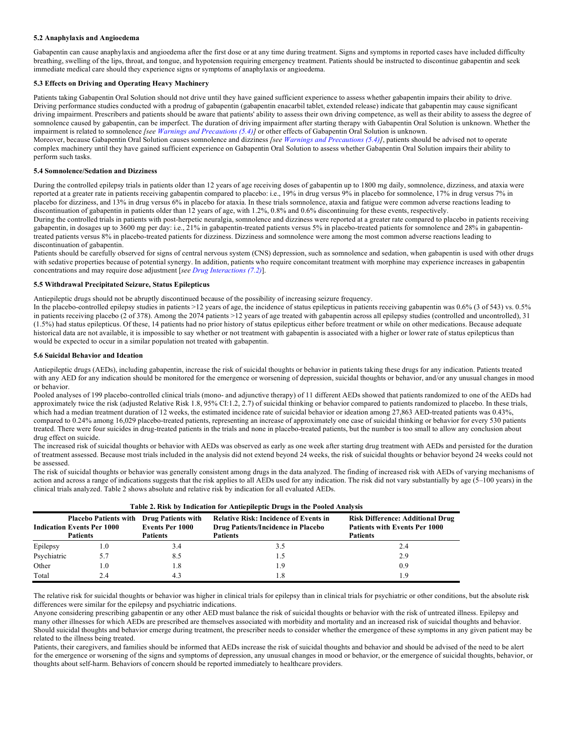# **5.2 Anaphylaxis and Angioedema**

Gabapentin can cause anaphylaxis and angioedema after the first dose or at any time during treatment. Signs and symptoms in reported cases have included difficulty breathing, swelling of the lips, throat, and tongue, and hypotension requiring emergency treatment. Patients should be instructed to discontinue gabapentin and seek immediate medical care should they experience signs or symptoms of anaphylaxis or angioedema.

# **5.3 Effects on Driving and Operating Heavy Machinery**

Patients taking Gabapentin Oral Solution should not drive until they have gained sufficient experience to assess whether gabapentin impairs their ability to drive. Driving performance studies conducted with a prodrug of gabapentin (gabapentin enacarbil tablet, extended release) indicate that gabapentin may cause significant driving impairment. Prescribers and patients should be aware that patients' ability to assess their own driving competence, as well as their ability to assess the degree of somnolence caused by gabapentin, can be imperfect. The duration of driving impairment after starting therapy with Gabapentin Oral Solution is unknown. Whether the impairment is related to somnolence *[see Warnings and Precautions (5.4)]* or other effects of Gabapentin Oral Solution is unknown. Moreover, because Gabapentin Oral Solution causes somnolence and dizziness *[see Warnings and Precautions (5.4)]*, patients should be advised not to operate complex machinery until they have gained sufficient experience on Gabapentin Oral Solution to assess whether Gabapentin Oral Solution impairs their ability to perform such tasks.

# **5.4 Somnolence/Sedation and Dizziness**

During the controlled epilepsy trials in patients older than 12 years of age receiving doses of gabapentin up to 1800 mg daily, somnolence, dizziness, and ataxia were reported at a greater rate in patients receiving gabapentin compared to placebo: i.e., 19% in drug versus 9% in placebo for somnolence, 17% in drug versus 7% in placebo for dizziness, and 13% in drug versus 6% in placebo for ataxia. In these trials somnolence, ataxia and fatigue were common adverse reactions leading to discontinuation of gabapentin in patients older than 12 years of age, with 1.2%, 0.8% and 0.6% discontinuing for these events, respectively.

During the controlled trials in patients with post-herpetic neuralgia, somnolence and dizziness were reported at a greater rate compared to placebo in patients receiving gabapentin, in dosages up to 3600 mg per day: i.e., 21% in gabapentin-treated patients versus 5% in placebo-treated patients for somnolence and 28% in gabapentintreated patients versus 8% in placebo-treated patients for dizziness. Dizziness and somnolence were among the most common adverse reactions leading to discontinuation of gabapentin.

Patients should be carefully observed for signs of central nervous system (CNS) depression, such as somnolence and sedation, when gabapentin is used with other drugs with sedative properties because of potential synergy. In addition, patients who require concomitant treatment with morphine may experience increases in gabapentin concentrations and may require dose adjustment [*see Drug Interactions (7.2)*].

# **5.5 Withdrawal Precipitated Seizure, Status Epilepticus**

Antiepileptic drugs should not be abruptly discontinued because of the possibility of increasing seizure frequency.

In the placebo-controlled epilepsy studies in patients >12 years of age, the incidence of status epilepticus in patients receiving gabapentin was 0.6% (3 of 543) vs. 0.5% in patients receiving placebo (2 of 378). Among the 2074 patients >12 years of age treated with gabapentin across all epilepsy studies (controlled and uncontrolled), 31 (1.5%) had status epilepticus. Of these, 14 patients had no prior history of status epilepticus either before treatment or while on other medications. Because adequate historical data are not available, it is impossible to say whether or not treatment with gabapentin is associated with a higher or lower rate of status epilepticus than would be expected to occur in a similar population not treated with gabapentin.

# **5.6 Suicidal Behavior and Ideation**

Antiepileptic drugs (AEDs), including gabapentin, increase the risk of suicidal thoughts or behavior in patients taking these drugs for any indication. Patients treated with any AED for any indication should be monitored for the emergence or worsening of depression, suicidal thoughts or behavior, and/or any unusual changes in mood or behavior.

Pooled analyses of 199 placebo-controlled clinical trials (mono- and adjunctive therapy) of 11 different AEDs showed that patients randomized to one of the AEDs had approximately twice the risk (adjusted Relative Risk 1.8, 95% CI:1.2, 2.7) of suicidal thinking or behavior compared to patients randomized to placebo. In these trials, which had a median treatment duration of 12 weeks, the estimated incidence rate of suicidal behavior or ideation among 27,863 AED-treated patients was 0.43%, compared to 0.24% among 16,029 placebo-treated patients, representing an increase of approximately one case of suicidal thinking or behavior for every 530 patients treated. There were four suicides in drug-treated patients in the trials and none in placebo-treated patients, but the number is too small to allow any conclusion about drug effect on suicide.

The increased risk of suicidal thoughts or behavior with AEDs was observed as early as one week after starting drug treatment with AEDs and persisted for the duration of treatment assessed. Because most trials included in the analysis did not extend beyond 24 weeks, the risk of suicidal thoughts or behavior beyond 24 weeks could not be assessed.

The risk of suicidal thoughts or behavior was generally consistent among drugs in the data analyzed. The finding of increased risk with AEDs of varying mechanisms of action and across a range of indications suggests that the risk applies to all AEDs used for any indication. The risk did not vary substantially by age (5–100 years) in the clinical trials analyzed. Table 2 shows absolute and relative risk by indication for all evaluated AEDs.

|             | Table 2. KISK by HIGKGOOD TOT AIRGEPHEPIC DTU2S IN THE FOOTED AIRLYSIS                                  |                                           |                                                                                                       |                                                                                                    |  |  |
|-------------|---------------------------------------------------------------------------------------------------------|-------------------------------------------|-------------------------------------------------------------------------------------------------------|----------------------------------------------------------------------------------------------------|--|--|
|             | <b>Placebo Patients with Drug Patients with</b><br><b>Indication Events Per 1000</b><br><b>Patients</b> | <b>Events Per 1000</b><br><b>Patients</b> | <b>Relative Risk: Incidence of Events in</b><br>Drug Patients/Incidence in Placebo<br><b>Patients</b> | <b>Risk Difference: Additional Drug</b><br><b>Patients with Events Per 1000</b><br><b>Patients</b> |  |  |
| Epilepsy    | 1.0                                                                                                     | 3.4                                       | 3.5                                                                                                   | 2.4                                                                                                |  |  |
| Psychiatric | 5.7                                                                                                     | 8.5                                       |                                                                                                       | 2.9                                                                                                |  |  |
| Other       | 1.0                                                                                                     | 1.8                                       | ī.9                                                                                                   | 0.9                                                                                                |  |  |
| Total       | 2.4                                                                                                     | 4.3                                       |                                                                                                       | Ι9                                                                                                 |  |  |

**Table 2. Risk by Indication for Antiepileptic Drugs in the Pooled Analysis**

The relative risk for suicidal thoughts or behavior was higher in clinical trials for epilepsy than in clinical trials for psychiatric or other conditions, but the absolute risk differences were similar for the epilepsy and psychiatric indications.

Anyone considering prescribing gabapentin or any other AED must balance the risk of suicidal thoughts or behavior with the risk of untreated illness. Epilepsy and many other illnesses for which AEDs are prescribed are themselves associated with morbidity and mortality and an increased risk of suicidal thoughts and behavior. Should suicidal thoughts and behavior emerge during treatment, the prescriber needs to consider whether the emergence of these symptoms in any given patient may be related to the illness being treated.

Patients, their caregivers, and families should be informed that AEDs increase the risk of suicidal thoughts and behavior and should be advised of the need to be alert for the emergence or worsening of the signs and symptoms of depression, any unusual changes in mood or behavior, or the emergence of suicidal thoughts, behavior, or thoughts about self-harm. Behaviors of concern should be reported immediately to healthcare providers.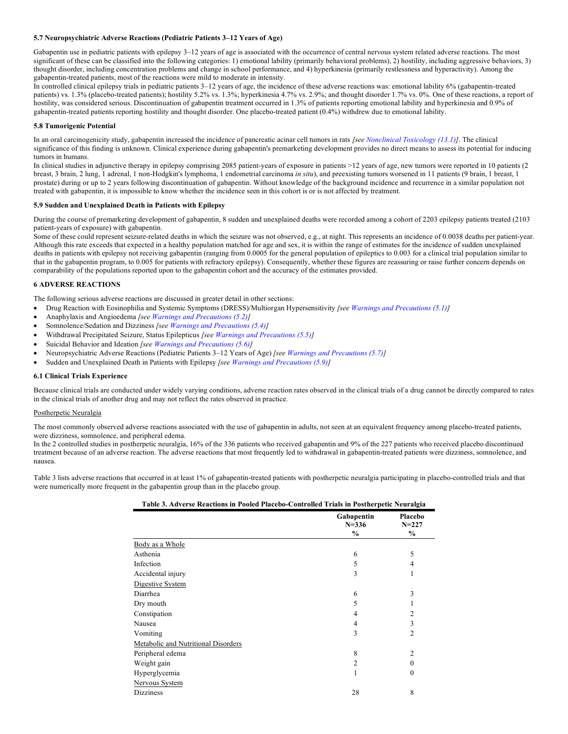# **5.7 Neuropsychiatric Adverse Reactions (Pediatric Patients 3–12 Years of Age)**

Gabapentin use in pediatric patients with epilepsy 3–12 years of age is associated with the occurrence of central nervous system related adverse reactions. The most significant of these can be classified into the following categories: 1) emotional lability (primarily behavioral problems), 2) hostility, including aggressive behaviors, 3) thought disorder, including concentration problems and change in school performance, and 4) hyperkinesia (primarily restlessness and hyperactivity). Among the gabapentin-treated patients, most of the reactions were mild to moderate in intensity.

In controlled clinical epilepsy trials in pediatric patients 3–12 years of age, the incidence of these adverse reactions was: emotional lability 6% (gabapentin-treated patients) vs. 1.3% (placebo-treated patients); hostility 5.2% vs. 1.3%; hyperkinesia 4.7% vs. 2.9%; and thought disorder 1.7% vs. 0%. One of these reactions, a report of hostility, was considered serious. Discontinuation of gabapentin treatment occurred in 1.3% of patients reporting emotional lability and hyperkinesia and 0.9% of gabapentin-treated patients reporting hostility and thought disorder. One placebo-treated patient (0.4%) withdrew due to emotional lability.

# **5.8 Tumorigenic Potential**

In an oral carcinogenicity study, gabapentin increased the incidence of pancreatic acinar cell tumors in rats *[see Nonclinical Toxicology (13.1)]*. The clinical significance of this finding is unknown. Clinical experience during gabapentin's premarketing development provides no direct means to assess its potential for inducing tumors in humans.

In clinical studies in adjunctive therapy in epilepsy comprising 2085 patient-years of exposure in patients >12 years of age, new tumors were reported in 10 patients (2 breast, 3 brain, 2 lung, 1 adrenal, 1 non-Hodgkin's lymphoma, 1 endometrial carcinoma *in situ*), and preexisting tumors worsened in 11 patients (9 brain, 1 breast, 1 prostate) during or up to 2 years following discontinuation of gabapentin. Without knowledge of the background incidence and recurrence in a similar population not treated with gabapentin, it is impossible to know whether the incidence seen in this cohort is or is not affected by treatment.

# **5.9 Sudden and Unexplained Death in Patients with Epilepsy**

During the course of premarketing development of gabapentin, 8 sudden and unexplained deaths were recorded among a cohort of 2203 epilepsy patients treated (2103 patient-years of exposure) with gabapentin.

Some of these could represent seizure-related deaths in which the seizure was not observed, e.g., at night. This represents an incidence of 0.0038 deaths per patient-year. Although this rate exceeds that expected in a healthy population matched for age and sex, it is within the range of estimates for the incidence of sudden unexplained deaths in patients with epilepsy not receiving gabapentin (ranging from 0.0005 for the general population of epileptics to 0.003 for a clinical trial population similar to that in the gabapentin program, to 0.005 for patients with refractory epilepsy). Consequently, whether these figures are reassuring or raise further concern depends on comparability of the populations reported upon to the gabapentin cohort and the accuracy of the estimates provided.

# **6 ADVERSE REACTIONS**

The following serious adverse reactions are discussed in greater detail in other sections:

- Drug Reaction with Eosinophilia and Systemic Symptoms (DRESS)/Multiorgan Hypersensitivity *[see Warnings and Precautions (5.1)]*
- Anaphylaxis and Angioedema *[see Warnings and Precautions (5.2)]*
- Somnolence/Sedation and Dizziness *[see Warnings and Precautions (5.4)]*
- Withdrawal Precipitated Seizure, Status Epilepticus *[see Warnings and Precautions (5.5)]*
- Suicidal Behavior and Ideation *[see Warnings and Precautions (5.6)]*
- Neuropsychiatric Adverse Reactions (Pediatric Patients 3–12 Years of Age) *[see Warnings and Precautions (5.7)]*
- Sudden and Unexplained Death in Patients with Epilepsy *[see Warnings and Precautions (5.9)]*

# **6.1 Clinical Trials Experience**

Because clinical trials are conducted under widely varying conditions, adverse reaction rates observed in the clinical trials of a drug cannot be directly compared to rates in the clinical trials of another drug and may not reflect the rates observed in practice.

# Postherpetic Neuralgia

The most commonly observed adverse reactions associated with the use of gabapentin in adults, not seen at an equivalent frequency among placebo-treated patients, were dizziness, somnolence, and peripheral edema.

In the 2 controlled studies in postherpetic neuralgia, 16% of the 336 patients who received gabapentin and 9% of the 227 patients who received placebo discontinued treatment because of an adverse reaction. The adverse reactions that most frequently led to withdrawal in gabapentin-treated patients were dizziness, somnolence, and nausea.

Table 3 lists adverse reactions that occurred in at least 1% of gabapentin-treated patients with postherpetic neuralgia participating in placebo-controlled trials and that were numerically more frequent in the gabapentin group than in the placebo group.

| Table 3. Adverse Reactions in Pooled Placebo-Controlled Trials in Postherpetic Neuralgia |                                 |                              |  |  |
|------------------------------------------------------------------------------------------|---------------------------------|------------------------------|--|--|
|                                                                                          | Gabapentin<br>$N = 336$<br>$\%$ | Placebo<br>$N = 227$<br>$\%$ |  |  |
| Body as a Whole                                                                          |                                 |                              |  |  |
| Asthenia                                                                                 | 6                               | 5                            |  |  |
| Infection                                                                                | 5                               | 4                            |  |  |
| Accidental injury                                                                        | 3                               |                              |  |  |
| Digestive System                                                                         |                                 |                              |  |  |
| Diarrhea                                                                                 | 6                               | 3                            |  |  |
| Dry mouth                                                                                | 5                               |                              |  |  |
| Constipation                                                                             | 4                               | 2                            |  |  |
| Nausea                                                                                   | 4                               | 3                            |  |  |
| Vomiting                                                                                 | 3                               | $\overline{2}$               |  |  |
| Metabolic and Nutritional Disorders                                                      |                                 |                              |  |  |
| Peripheral edema                                                                         | 8                               | 2                            |  |  |
| Weight gain                                                                              | 2                               | $\theta$                     |  |  |
| Hyperglycemia                                                                            |                                 | $\theta$                     |  |  |
| Nervous System                                                                           |                                 |                              |  |  |
| Dizziness                                                                                | 28                              | 8                            |  |  |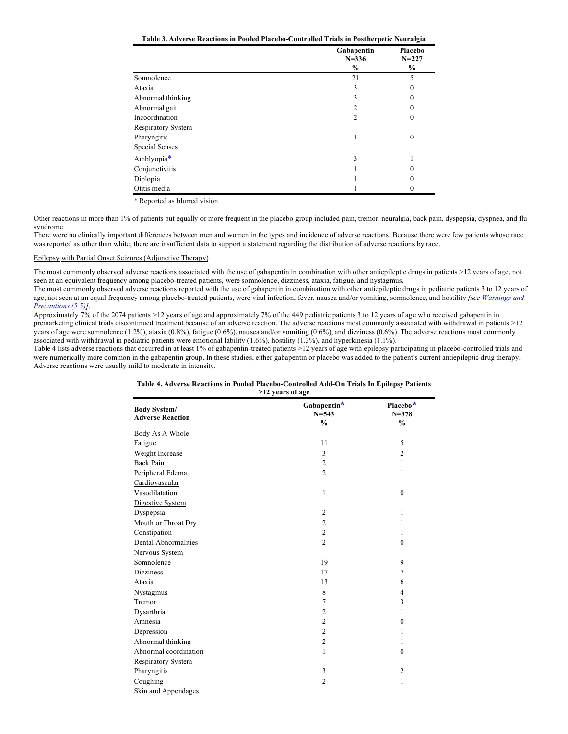**Table 3. Adverse Reactions in Pooled Placebo-Controlled Trials in Postherpetic Neuralgia**

|                           | Gabapentin<br>$N = 336$ | Placebo<br>$N = 227$ |
|---------------------------|-------------------------|----------------------|
|                           | $\frac{6}{6}$           | $\%$                 |
| Somnolence                | 21                      | 5                    |
| Ataxia                    | 3                       | 0                    |
| Abnormal thinking         | 3                       | 0                    |
| Abnormal gait             | 2                       |                      |
| Incoordination            | $\mathfrak{D}$          | $\Omega$             |
| <b>Respiratory System</b> |                         |                      |
| Pharyngitis               |                         | $\theta$             |
| <b>Special Senses</b>     |                         |                      |
| Amblyopia*                | 3                       |                      |
| Conjunctivitis            |                         |                      |
| Diplopia                  |                         |                      |
| Otitis media              |                         |                      |

\* Reported as blurred vision

Other reactions in more than 1% of patients but equally or more frequent in the placebo group included pain, tremor, neuralgia, back pain, dyspepsia, dyspnea, and flu syndrome.

There were no clinically important differences between men and women in the types and incidence of adverse reactions. Because there were few patients whose race was reported as other than white, there are insufficient data to support a statement regarding the distribution of adverse reactions by race.

# Epilepsy with Partial Onset Seizures (Adjunctive Therapy)

j.

The most commonly observed adverse reactions associated with the use of gabapentin in combination with other antiepileptic drugs in patients >12 years of age, not seen at an equivalent frequency among placebo-treated patients, were somnolence, dizziness, ataxia, fatigue, and nystagmus.

The most commonly observed adverse reactions reported with the use of gabapentin in combination with other antiepileptic drugs in pediatric patients 3 to 12 years of age, not seen at an equal frequency among placebo-treated patients, were viral infection, fever, nausea and/or vomiting, somnolence, and hostility *[see Warnings and Precautions (5.5)]*.

Approximately 7% of the 2074 patients >12 years of age and approximately 7% of the 449 pediatric patients 3 to 12 years of age who received gabapentin in premarketing clinical trials discontinued treatment because of an adverse reaction. The adverse reactions most commonly associated with withdrawal in patients >12 years of age were somnolence (1.2%), ataxia (0.8%), fatigue (0.6%), nausea and/or vomiting (0.6%), and dizziness (0.6%). The adverse reactions most commonly associated with withdrawal in pediatric patients were emotional lability (1.6%), hostility (1.3%), and hyperkinesia (1.1%).

Table 4 lists adverse reactions that occurred in at least 1% of gabapentin-treated patients >12 years of age with epilepsy participating in placebo-controlled trials and were numerically more common in the gabapentin group. In these studies, either gabapentin or placebo was added to the patient's current antiepileptic drug therapy. Adverse reactions were usually mild to moderate in intensity.

| Table 4. Adverse Reactions in Pooled Placebo-Controlled Add-On Trials In Epilepsy Patients |
|--------------------------------------------------------------------------------------------|
| >12 years of age                                                                           |

|                           |                          | Placebo*         |
|---------------------------|--------------------------|------------------|
| <b>Body System/</b>       | Gabapentin*<br>$N = 543$ | $N = 378$        |
| <b>Adverse Reaction</b>   | $\frac{0}{0}$            | $\frac{0}{0}$    |
| Body As A Whole           |                          |                  |
| Fatigue                   | 11                       | 5                |
| Weight Increase           | 3                        | 2                |
| <b>Back Pain</b>          | $\overline{\mathbf{c}}$  | 1                |
| Peripheral Edema          | $\overline{2}$           | 1                |
| Cardiovascular            |                          |                  |
| Vasodilatation            | 1                        | $\boldsymbol{0}$ |
| Digestive System          |                          |                  |
| Dyspepsia                 | $\overline{c}$           | 1                |
| Mouth or Throat Dry       | $\overline{c}$           | 1                |
| Constipation              | $\overline{c}$           | 1                |
| Dental Abnormalities      | $\overline{2}$           | $\mathbf{0}$     |
| Nervous System            |                          |                  |
| Somnolence                | 19                       | 9                |
| <b>Dizziness</b>          | 17                       | 7                |
| Ataxia                    | 13                       | 6                |
| Nystagmus                 | 8                        | 4                |
| Tremor                    | 7                        | 3                |
| Dysarthria                | 2                        | 1                |
| Amnesia                   | $\overline{c}$           | $\mathbf{0}$     |
| Depression                | $\overline{c}$           | 1                |
| Abnormal thinking         | $\overline{c}$           | 1                |
| Abnormal coordination     | 1                        | $\mathbf{0}$     |
| <b>Respiratory System</b> |                          |                  |
| Pharyngitis               | 3                        | $\overline{c}$   |
| Coughing                  | $\overline{c}$           | 1                |
| Skin and Appendages       |                          |                  |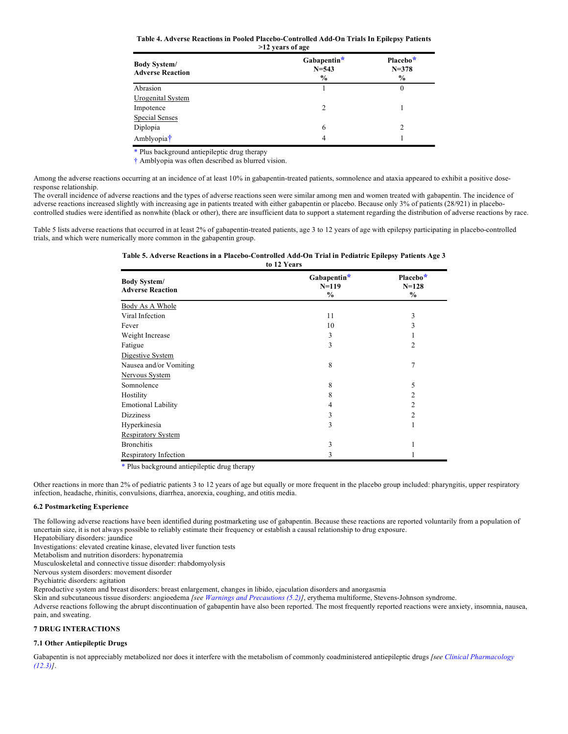**Table 4. Adverse Reactions in Pooled Placebo-Controlled Add-On Trials In Epilepsy Patients >12 years of age**

| <b>Body System/</b><br><b>Adverse Reaction</b> | Gabapentin*<br>$N = 543$<br>$\frac{6}{9}$ | Placebo*<br>$N = 378$<br>$\frac{6}{9}$ |
|------------------------------------------------|-------------------------------------------|----------------------------------------|
| Abrasion                                       |                                           | $\theta$                               |
| Urogenital System                              |                                           |                                        |
| Impotence                                      | $\mathcal{L}$                             |                                        |
| <b>Special Senses</b>                          |                                           |                                        |
| Diplopia                                       | 6                                         | 2                                      |
| Amblyopia <sup>†</sup>                         | 4                                         |                                        |

\* Plus background antiepileptic drug therapy

† Amblyopia was often described as blurred vision.

Among the adverse reactions occurring at an incidence of at least 10% in gabapentin-treated patients, somnolence and ataxia appeared to exhibit a positive doseresponse relationship.

The overall incidence of adverse reactions and the types of adverse reactions seen were similar among men and women treated with gabapentin. The incidence of adverse reactions increased slightly with increasing age in patients treated with either gabapentin or placebo. Because only 3% of patients (28/921) in placebocontrolled studies were identified as nonwhite (black or other), there are insufficient data to support a statement regarding the distribution of adverse reactions by race.

Table 5 lists adverse reactions that occurred in at least 2% of gabapentin-treated patients, age 3 to 12 years of age with epilepsy participating in placebo-controlled trials, and which were numerically more common in the gabapentin group.

#### **Table 5. Adverse Reactions in a Placebo-Controlled Add-On Trial in Pediatric Epilepsy Patients Age 3 to 12 Years**

| <b>Body System/</b><br><b>Adverse Reaction</b> | Gabapentin*<br>$N=119$<br>$\%$ | Placebo*<br>$N = 128$<br>$\%$ |
|------------------------------------------------|--------------------------------|-------------------------------|
| Body As A Whole                                |                                |                               |
| Viral Infection                                | 11                             | 3                             |
| Fever                                          | 10                             | 3                             |
| Weight Increase                                | 3                              |                               |
| Fatigue                                        | 3                              | $\overline{2}$                |
| Digestive System                               |                                |                               |
| Nausea and/or Vomiting                         | 8                              | 7                             |
| Nervous System                                 |                                |                               |
| Somnolence                                     | 8                              | 5                             |
| Hostility                                      | 8                              | 2                             |
| <b>Emotional Lability</b>                      | 4                              | 2                             |
| <b>Dizziness</b>                               | 3                              | 2                             |
| Hyperkinesia                                   | 3                              |                               |
| <b>Respiratory System</b>                      |                                |                               |
| <b>Bronchitis</b>                              | 3                              |                               |
| Respiratory Infection                          | 3                              |                               |

\* Plus background antiepileptic drug therapy

Other reactions in more than 2% of pediatric patients 3 to 12 years of age but equally or more frequent in the placebo group included: pharyngitis, upper respiratory infection, headache, rhinitis, convulsions, diarrhea, anorexia, coughing, and otitis media.

# **6.2 Postmarketing Experience**

The following adverse reactions have been identified during postmarketing use of gabapentin. Because these reactions are reported voluntarily from a population of uncertain size, it is not always possible to reliably estimate their frequency or establish a causal relationship to drug exposure.

Hepatobiliary disorders: jaundice

Investigations: elevated creatine kinase, elevated liver function tests

Metabolism and nutrition disorders: hyponatremia

Musculoskeletal and connective tissue disorder: rhabdomyolysis

Nervous system disorders: movement disorder

Psychiatric disorders: agitation

Reproductive system and breast disorders: breast enlargement, changes in libido, ejaculation disorders and anorgasmia

Skin and subcutaneous tissue disorders: angioedema *[see Warnings and Precautions (5.2)]*, erythema multiforme, Stevens-Johnson syndrome.

Adverse reactions following the abrupt discontinuation of gabapentin have also been reported. The most frequently reported reactions were anxiety, insomnia, nausea, pain, and sweating.

# **7 DRUG INTERACTIONS**

# **7.1 Other Antiepileptic Drugs**

Gabapentin is not appreciably metabolized nor does it interfere with the metabolism of commonly coadministered antiepileptic drugs *[see Clinical Pharmacology (12.3)]*.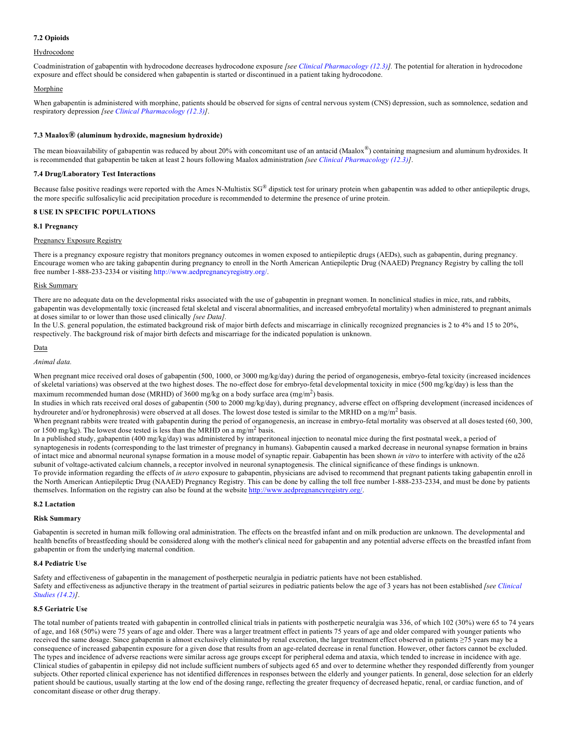# **7.2 Opioids**

# Hydrocodone

Coadministration of gabapentin with hydrocodone decreases hydrocodone exposure *[see Clinical Pharmacology (12.3)].* The potential for alteration in hydrocodone exposure and effect should be considered when gabapentin is started or discontinued in a patient taking hydrocodone.

# Morphine

When gabapentin is administered with morphine, patients should be observed for signs of central nervous system (CNS) depression, such as somnolence, sedation and respiratory depression *[see Clinical Pharmacology (12.3)]*.

# **7.3 Maalox® (aluminum hydroxide, magnesium hydroxide)**

The mean bioavailability of gabapentin was reduced by about 20% with concomitant use of an antacid (Maalox®) containing magnesium and aluminum hydroxides. It is recommended that gabapentin be taken at least 2 hours following Maalox administration *[see Clinical Pharmacology (12.3)]*.

# **7.4 Drug/Laboratory Test Interactions**

Because false positive readings were reported with the Ames N-Multistix SG® dipstick test for urinary protein when gabapentin was added to other antiepileptic drugs, the more specific sulfosalicylic acid precipitation procedure is recommended to determine the presence of urine protein.

# **8 USE IN SPECIFIC POPULATIONS**

# **8.1 Pregnancy**

# Pregnancy Exposure Registry

There is a pregnancy exposure registry that monitors pregnancy outcomes in women exposed to antiepileptic drugs (AEDs), such as gabapentin, during pregnancy. Encourage women who are taking gabapentin during pregnancy to enroll in the North American Antiepileptic Drug (NAAED) Pregnancy Registry by calling the toll free number 1-888-233-2334 or visiting http://www.aedpregnancyregistry.org/.

# Risk Summary

There are no adequate data on the developmental risks associated with the use of gabapentin in pregnant women. In nonclinical studies in mice, rats, and rabbits, gabapentin was developmentally toxic (increased fetal skeletal and visceral abnormalities, and increased embryofetal mortality) when administered to pregnant animals at doses similar to or lower than those used clinically *[see Data].* 

In the U.S. general population, the estimated background risk of major birth defects and miscarriage in clinically recognized pregnancies is 2 to 4% and 15 to 20%, respectively. The background risk of major birth defects and miscarriage for the indicated population is unknown.

# Data

# *Animal data.*

When pregnant mice received oral doses of gabapentin (500, 1000, or 3000 mg/kg/day) during the period of organogenesis, embryo-fetal toxicity (increased incidences of skeletal variations) was observed at the two highest doses. The no-effect dose for embryo-fetal developmental toxicity in mice (500 mg/kg/day) is less than the maximum recommended human dose (MRHD) of 3600 mg/kg on a body surface area  $(mg/m^2)$  basis.

In studies in which rats received oral doses of gabapentin (500 to 2000 mg/kg/day), during pregnancy, adverse effect on offspring development (increased incidences of hydroureter and/or hydronephrosis) were observed at all doses. The lowest dose tested is similar to the MRHD on a mg/m<sup>2</sup> basis.

When pregnant rabbits were treated with gabapentin during the period of organogenesis, an increase in embryo-fetal mortality was observed at all doses tested (60, 300, or 1500 mg/kg). The lowest dose tested is less than the MRHD on a mg/m<sup>2</sup> basis.

In a published study, gabapentin (400 mg/kg/day) was administered by intraperitoneal injection to neonatal mice during the first postnatal week, a period of synaptogenesis in rodents (corresponding to the last trimester of pregnancy in humans). Gabapentin caused a marked decrease in neuronal synapse formation in brains of intact mice and abnormal neuronal synapse formation in a mouse model of synaptic repair. Gabapentin has been shown *in vitro* to interfere with activity of the α2δ subunit of voltage-activated calcium channels, a receptor involved in neuronal synaptogenesis. The clinical significance of these findings is unknown.

To provide information regarding the effects of *in utero* exposure to gabapentin, physicians are advised to recommend that pregnant patients taking gabapentin enroll in the North American Antiepileptic Drug (NAAED) Pregnancy Registry. This can be done by calling the toll free number 1-888-233-2334, and must be done by patients themselves. Information on the registry can also be found at the website http://www.aedpregnancyregistry.org/.

# **8.2 Lactation**

# **Risk Summary**

Gabapentin is secreted in human milk following oral administration. The effects on the breastfed infant and on milk production are unknown. The developmental and health benefits of breastfeeding should be considered along with the mother's clinical need for gabapentin and any potential adverse effects on the breastfed infant from gabapentin or from the underlying maternal condition.

# **8.4 Pediatric Use**

Safety and effectiveness of gabapentin in the management of postherpetic neuralgia in pediatric patients have not been established. Safety and effectiveness as adjunctive therapy in the treatment of partial seizures in pediatric patients below the age of 3 years has not been established *[see Clinical Studies (14.2)]*.

# **8.5 Geriatric Use**

The total number of patients treated with gabapentin in controlled clinical trials in patients with postherpetic neuralgia was 336, of which 102 (30%) were 65 to 74 years of age, and 168 (50%) were 75 years of age and older. There was a larger treatment effect in patients 75 years of age and older compared with younger patients who received the same dosage. Since gabapentin is almost exclusively eliminated by renal excretion, the larger treatment effect observed in patients ≥75 years may be a consequence of increased gabapentin exposure for a given dose that results from an age-related decrease in renal function. However, other factors cannot be excluded. The types and incidence of adverse reactions were similar across age groups except for peripheral edema and ataxia, which tended to increase in incidence with age. Clinical studies of gabapentin in epilepsy did not include sufficient numbers of subjects aged 65 and over to determine whether they responded differently from younger subjects. Other reported clinical experience has not identified differences in responses between the elderly and younger patients. In general, dose selection for an elderly patient should be cautious, usually starting at the low end of the dosing range, reflecting the greater frequency of decreased hepatic, renal, or cardiac function, and of concomitant disease or other drug therapy.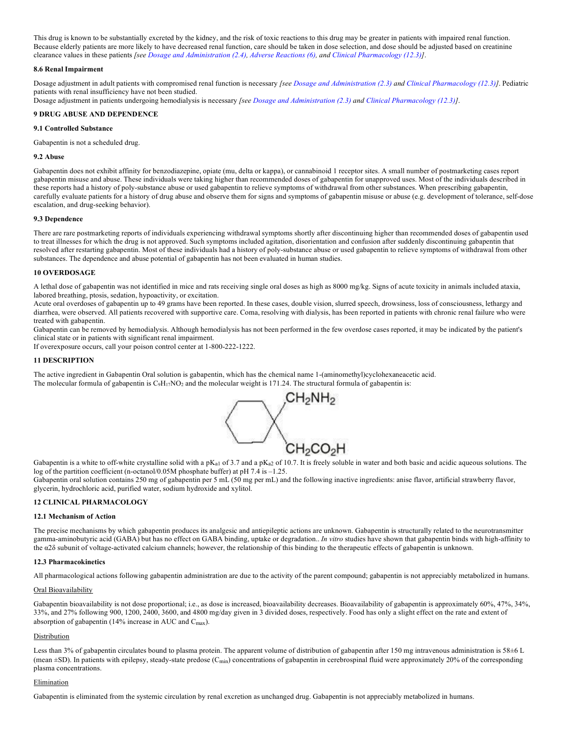This drug is known to be substantially excreted by the kidney, and the risk of toxic reactions to this drug may be greater in patients with impaired renal function. Because elderly patients are more likely to have decreased renal function, care should be taken in dose selection, and dose should be adjusted based on creatinine clearance values in these patients *[see Dosage and Administration (2.4), Adverse Reactions (6), and Clinical Pharmacology (12.3)]*.

# **8.6 Renal Impairment**

Dosage adjustment in adult patients with compromised renal function is necessary *[see Dosage and Administration (2.3) and Clinical Pharmacology (12.3)]*. Pediatric patients with renal insufficiency have not been studied.

Dosage adjustment in patients undergoing hemodialysis is necessary *[see Dosage and Administration (2.3) and Clinical Pharmacology (12.3)]*.

#### **9 DRUG ABUSE AND DEPENDENCE**

# **9.1 Controlled Substance**

Gabapentin is not a scheduled drug.

#### **9.2 Abuse**

Gabapentin does not exhibit affinity for benzodiazepine, opiate (mu, delta or kappa), or cannabinoid 1 receptor sites. A small number of postmarketing cases report gabapentin misuse and abuse. These individuals were taking higher than recommended doses of gabapentin for unapproved uses. Most of the individuals described in these reports had a history of poly-substance abuse or used gabapentin to relieve symptoms of withdrawal from other substances. When prescribing gabapentin, carefully evaluate patients for a history of drug abuse and observe them for signs and symptoms of gabapentin misuse or abuse (e.g. development of tolerance, self-dose escalation, and drug-seeking behavior).

#### **9.3 Dependence**

There are rare postmarketing reports of individuals experiencing withdrawal symptoms shortly after discontinuing higher than recommended doses of gabapentin used to treat illnesses for which the drug is not approved. Such symptoms included agitation, disorientation and confusion after suddenly discontinuing gabapentin that resolved after restarting gabapentin. Most of these individuals had a history of poly-substance abuse or used gabapentin to relieve symptoms of withdrawal from other substances. The dependence and abuse potential of gabapentin has not been evaluated in human studies.

#### **10 OVERDOSAGE**

A lethal dose of gabapentin was not identified in mice and rats receiving single oral doses as high as 8000 mg/kg. Signs of acute toxicity in animals included ataxia, labored breathing, ptosis, sedation, hypoactivity, or excitation.

Acute oral overdoses of gabapentin up to 49 grams have been reported. In these cases, double vision, slurred speech, drowsiness, loss of consciousness, lethargy and diarrhea, were observed. All patients recovered with supportive care. Coma, resolving with dialysis, has been reported in patients with chronic renal failure who were treated with gabapentin.

Gabapentin can be removed by hemodialysis. Although hemodialysis has not been performed in the few overdose cases reported, it may be indicated by the patient's clinical state or in patients with significant renal impairment.

If overexposure occurs, call your poison control center at 1-800-222-1222.

# **11 DESCRIPTION**

The active ingredient in Gabapentin Oral solution is gabapentin, which has the chemical name 1-(aminomethyl)cyclohexaneacetic acid. The molecular formula of gabapentin is  $C_9H_{17}NO_2$  and the molecular weight is 171.24. The structural formula of gabapentin is:



Gabapentin is a white to off-white crystalline solid with a pK<sub>a1</sub> of 3.7 and a pK<sub>a2</sub> of 10.7. It is freely soluble in water and both basic and acidic aqueous solutions. The log of the partition coefficient (n-octanol/0.05M phosphate buffer) at pH 7.4 is -1.25.

Gabapentin oral solution contains 250 mg of gabapentin per 5 mL (50 mg per mL) and the following inactive ingredients: anise flavor, artificial strawberry flavor, glycerin, hydrochloric acid, purified water, sodium hydroxide and xylitol.

# **12 CLINICAL PHARMACOLOGY**

#### **12.1 Mechanism of Action**

The precise mechanisms by which gabapentin produces its analgesic and antiepileptic actions are unknown. Gabapentin is structurally related to the neurotransmitter gamma-aminobutyric acid (GABA) but has no effect on GABA binding, uptake or degradation.. *In vitro* studies have shown that gabapentin binds with high-affinity to the α2δ subunit of voltage-activated calcium channels; however, the relationship of this binding to the therapeutic effects of gabapentin is unknown.

# **12.3 Pharmacokinetics**

All pharmacological actions following gabapentin administration are due to the activity of the parent compound; gabapentin is not appreciably metabolized in humans.

# Oral Bioavailability

Gabapentin bioavailability is not dose proportional; i.e., as dose is increased, bioavailability decreases. Bioavailability of gabapentin is approximately 60%, 47%, 34%, 33%, and 27% following 900, 1200, 2400, 3600, and 4800 mg/day given in 3 divided doses, respectively. Food has only a slight effect on the rate and extent of absorption of gabapentin (14% increase in AUC and Cmax).

# Distribution

Less than 3% of gabapentin circulates bound to plasma protein. The apparent volume of distribution of gabapentin after 150 mg intravenous administration is 58±6 L (mean  $\pm$ SD). In patients with epilepsy, steady-state predose (C<sub>min</sub>) concentrations of gabapentin in cerebrospinal fluid were approximately 20% of the corresponding plasma concentrations.

# Elimination

Gabapentin is eliminated from the systemic circulation by renal excretion as unchanged drug. Gabapentin is not appreciably metabolized in humans.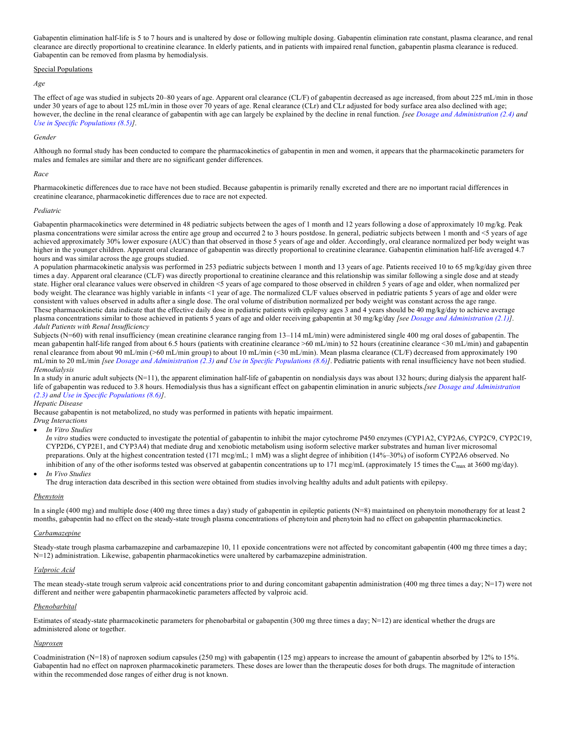Gabapentin elimination half-life is 5 to 7 hours and is unaltered by dose or following multiple dosing. Gabapentin elimination rate constant, plasma clearance, and renal clearance are directly proportional to creatinine clearance. In elderly patients, and in patients with impaired renal function, gabapentin plasma clearance is reduced. Gabapentin can be removed from plasma by hemodialysis.

#### Special Populations

#### *Age*

The effect of age was studied in subjects 20-80 years of age. Apparent oral clearance (CL/F) of gabapentin decreased as age increased, from about 225 mL/min in those under 30 years of age to about 125 mL/min in those over 70 years of age. Renal clearance (CLr) and CLr adjusted for body surface area also declined with age; however, the decline in the renal clearance of gabapentin with age can largely be explained by the decline in renal function*. [see Dosage and Administration (2.4) and Use in Specific Populations (8.5)]*.

#### *Gender*

Although no formal study has been conducted to compare the pharmacokinetics of gabapentin in men and women, it appears that the pharmacokinetic parameters for males and females are similar and there are no significant gender differences.

#### *Race*

Pharmacokinetic differences due to race have not been studied. Because gabapentin is primarily renally excreted and there are no important racial differences in creatinine clearance, pharmacokinetic differences due to race are not expected.

#### *Pediatric*

Gabapentin pharmacokinetics were determined in 48 pediatric subjects between the ages of 1 month and 12 years following a dose of approximately 10 mg/kg. Peak plasma concentrations were similar across the entire age group and occurred 2 to 3 hours postdose. In general, pediatric subjects between 1 month and <5 years of age achieved approximately 30% lower exposure (AUC) than that observed in those 5 years of age and older. Accordingly, oral clearance normalized per body weight was higher in the younger children. Apparent oral clearance of gabapentin was directly proportional to creatinine clearance. Gabapentin elimination half-life averaged 4.7 hours and was similar across the age groups studied.

A population pharmacokinetic analysis was performed in 253 pediatric subjects between 1 month and 13 years of age. Patients received 10 to 65 mg/kg/day given three times a day. Apparent oral clearance (CL/F) was directly proportional to creatinine clearance and this relationship was similar following a single dose and at steady state. Higher oral clearance values were observed in children <5 years of age compared to those observed in children 5 years of age and older, when normalized per body weight. The clearance was highly variable in infants <1 year of age. The normalized CL/F values observed in pediatric patients 5 years of age and older were consistent with values observed in adults after a single dose. The oral volume of distribution normalized per body weight was constant across the age range. These pharmacokinetic data indicate that the effective daily dose in pediatric patients with epilepsy ages 3 and 4 years should be 40 mg/kg/day to achieve average plasma concentrations similar to those achieved in patients 5 years of age and older receiving gabapentin at 30 mg/kg/day *[see Dosage and Administration (2.1)]*. *Adult Patients with Renal Insufficiency*

Subjects (N=60) with renal insufficiency (mean creatinine clearance ranging from 13–114 mL/min) were administered single 400 mg oral doses of gabapentin. The mean gabapentin half-life ranged from about 6.5 hours (patients with creatinine clearance >60 mL/min) to 52 hours (creatinine clearance <30 mL/min) and gabapentin renal clearance from about 90 mL/min (>60 mL/min group) to about 10 mL/min (<30 mL/min). Mean plasma clearance (CL/F) decreased from approximately 190 mL/min to 20 mL/min *[see Dosage and Administration (2.3) and Use in Specific Populations (8.6)]*. Pediatric patients with renal insufficiency have not been studied. *Hemodialysis*

In a study in anuric adult subjects (N=11), the apparent elimination half-life of gabapentin on nondialysis days was about 132 hours; during dialysis the apparent halflife of gabapentin was reduced to 3.8 hours. Hemodialysis thus has a significant effect on gabapentin elimination in anuric subjects.*[see Dosage and Administration (2.3) and Use in Specific Populations (8.6)]*.

# *Hepatic Disease*

Because gabapentin is not metabolized, no study was performed in patients with hepatic impairment.

# *Drug Interactions*

• *In Vitro Studies*

*In vitro* studies were conducted to investigate the potential of gabapentin to inhibit the major cytochrome P450 enzymes (CYP1A2, CYP2A6, CYP2C9, CYP2C19, CYP2D6, CYP2E1, and CYP3A4) that mediate drug and xenobiotic metabolism using isoform selective marker substrates and human liver microsomal preparations. Only at the highest concentration tested (171 mcg/mL; 1 mM) was a slight degree of inhibition (14%–30%) of isoform CYP2A6 observed. No inhibition of any of the other isoforms tested was observed at gabapentin concentrations up to 171 mcg/mL (approximately 15 times the C<sub>max</sub> at 3600 mg/day).

• *In Vivo Studies*

The drug interaction data described in this section were obtained from studies involving healthy adults and adult patients with epilepsy.

#### *Phenytoin*

In a single (400 mg) and multiple dose (400 mg three times a day) study of gabapentin in epileptic patients (N=8) maintained on phenytoin monotherapy for at least 2 months, gabapentin had no effect on the steady-state trough plasma concentrations of phenytoin and phenytoin had no effect on gabapentin pharmacokinetics.

# *Carbamazepine*

Steady-state trough plasma carbamazepine and carbamazepine 10, 11 epoxide concentrations were not affected by concomitant gabapentin (400 mg three times a day; N=12) administration. Likewise, gabapentin pharmacokinetics were unaltered by carbamazepine administration.

# *Valproic Acid*

The mean steady-state trough serum valproic acid concentrations prior to and during concomitant gabapentin administration (400 mg three times a day;  $N=17$ ) were not different and neither were gabapentin pharmacokinetic parameters affected by valproic acid.

# *Phenobarbital*

Estimates of steady-state pharmacokinetic parameters for phenobarbital or gabapentin (300 mg three times a day;  $N=12$ ) are identical whether the drugs are administered alone or together.

#### *Naproxen*

Coadministration (N=18) of naproxen sodium capsules (250 mg) with gabapentin (125 mg) appears to increase the amount of gabapentin absorbed by 12% to 15%. Gabapentin had no effect on naproxen pharmacokinetic parameters. These doses are lower than the therapeutic doses for both drugs. The magnitude of interaction within the recommended dose ranges of either drug is not known.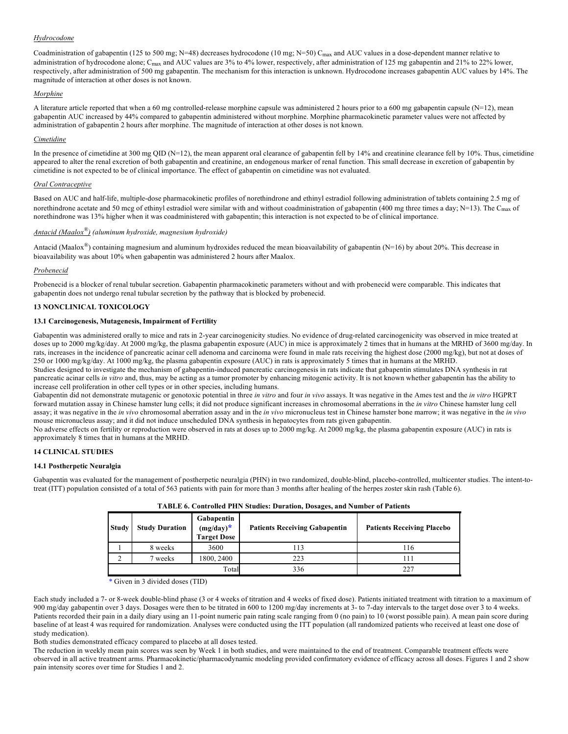# *Hydrocodone*

Coadministration of gabapentin (125 to 500 mg; N=48) decreases hydrocodone (10 mg; N=50) C<sub>max</sub> and AUC values in a dose-dependent manner relative to administration of hydrocodone alone; C<sub>max</sub> and AUC values are 3% to 4% lower, respectively, after administration of 125 mg gabapentin and 21% to 22% lower, respectively, after administration of 500 mg gabapentin. The mechanism for this interaction is unknown. Hydrocodone increases gabapentin AUC values by 14%. The magnitude of interaction at other doses is not known.

# *Morphine*

A literature article reported that when a 60 mg controlled-release morphine capsule was administered 2 hours prior to a 600 mg gabapentin capsule  $(N=12)$ , mean gabapentin AUC increased by 44% compared to gabapentin administered without morphine. Morphine pharmacokinetic parameter values were not affected by administration of gabapentin 2 hours after morphine. The magnitude of interaction at other doses is not known.

# *Cimetidine*

In the presence of cimetidine at 300 mg QID (N=12), the mean apparent oral clearance of gabapentin fell by 14% and creatinine clearance fell by 10%. Thus, cimetidine appeared to alter the renal excretion of both gabapentin and creatinine, an endogenous marker of renal function. This small decrease in excretion of gabapentin by cimetidine is not expected to be of clinical importance. The effect of gabapentin on cimetidine was not evaluated.

# *Oral Contraceptive*

Based on AUC and half-life, multiple-dose pharmacokinetic profiles of norethindrone and ethinyl estradiol following administration of tablets containing 2.5 mg of norethindrone acetate and 50 mcg of ethinyl estradiol were similar with and without coadministration of gabapentin (400 mg three times a day; N=13). The C<sub>max</sub> of norethindrone was 13% higher when it was coadministered with gabapentin; this interaction is not expected to be of clinical importance.

# *Antacid (Maalox®) (aluminum hydroxide, magnesium hydroxide)*

Antacid (Maalox<sup>®</sup>) containing magnesium and aluminum hydroxides reduced the mean bioavailability of gabapentin (N=16) by about 20%. This decrease in bioavailability was about 10% when gabapentin was administered 2 hours after Maalox.

# *Probenecid*

Probenecid is a blocker of renal tubular secretion. Gabapentin pharmacokinetic parameters without and with probenecid were comparable. This indicates that gabapentin does not undergo renal tubular secretion by the pathway that is blocked by probenecid.

# **13 NONCLINICAL TOXICOLOGY**

# **13.1 Carcinogenesis, Mutagenesis, Impairment of Fertility**

Gabapentin was administered orally to mice and rats in 2-year carcinogenicity studies. No evidence of drug-related carcinogenicity was observed in mice treated at doses up to 2000 mg/kg/day. At 2000 mg/kg, the plasma gabapentin exposure (AUC) in mice is approximately 2 times that in humans at the MRHD of 3600 mg/day. In rats, increases in the incidence of pancreatic acinar cell adenoma and carcinoma were found in male rats receiving the highest dose (2000 mg/kg), but not at doses of 250 or 1000 mg/kg/day. At 1000 mg/kg, the plasma gabapentin exposure (AUC) in rats is approximately 5 times that in humans at the MRHD.

Studies designed to investigate the mechanism of gabapentin-induced pancreatic carcinogenesis in rats indicate that gabapentin stimulates DNA synthesis in rat pancreatic acinar cells *in vitro* and, thus, may be acting as a tumor promoter by enhancing mitogenic activity. It is not known whether gabapentin has the ability to increase cell proliferation in other cell types or in other species, including humans.

Gabapentin did not demonstrate mutagenic or genotoxic potential in three *in vitro* and four *in vivo* assays. It was negative in the Ames test and the *in vitro* HGPRT forward mutation assay in Chinese hamster lung cells; it did not produce significant increases in chromosomal aberrations in the *in vitro* Chinese hamster lung cell assay; it was negative in the *in vivo* chromosomal aberration assay and in the *in vivo* micronucleus test in Chinese hamster bone marrow; it was negative in the *in vivo* mouse micronucleus assay; and it did not induce unscheduled DNA synthesis in hepatocytes from rats given gabapentin.

No adverse effects on fertility or reproduction were observed in rats at doses up to 2000 mg/kg. At 2000 mg/kg, the plasma gabapentin exposure (AUC) in rats is approximately 8 times that in humans at the MRHD.

# **14 CLINICAL STUDIES**

# **14.1 Postherpetic Neuralgia**

Gabapentin was evaluated for the management of postherpetic neuralgia (PHN) in two randomized, double-blind, placebo-controlled, multicenter studies. The intent-totreat (ITT) population consisted of a total of 563 patients with pain for more than 3 months after healing of the herpes zoster skin rash (Table 6).

|              | TADLE 0. CONTOINED PHIN SUBDIES: DUPATION, DOSAGES, AND INDUST OF PATHENTS |                                                  |                                      |                                   |  |  |  |
|--------------|----------------------------------------------------------------------------|--------------------------------------------------|--------------------------------------|-----------------------------------|--|--|--|
| <b>Study</b> | <b>Study Duration</b>                                                      | Gabapentin<br>$(mg/day)^*$<br><b>Target Dose</b> | <b>Patients Receiving Gabapentin</b> | <b>Patients Receiving Placebo</b> |  |  |  |
|              | 8 weeks                                                                    | 3600                                             | 113                                  | 116                               |  |  |  |
|              | ' weeks                                                                    | 1800, 2400                                       | 223                                  | l 11                              |  |  |  |
|              |                                                                            | Total                                            | 336                                  | 227                               |  |  |  |

|  |  |  |  | TABLE 6. Controlled PHN Studies: Duration, Dosages, and Number of Patients |
|--|--|--|--|----------------------------------------------------------------------------|
|--|--|--|--|----------------------------------------------------------------------------|

\* Given in 3 divided doses (TID)

Each study included a 7- or 8-week double-blind phase (3 or 4 weeks of titration and 4 weeks of fixed dose). Patients initiated treatment with titration to a maximum of 900 mg/day gabapentin over 3 days. Dosages were then to be titrated in 600 to 1200 mg/day increments at 3- to 7-day intervals to the target dose over 3 to 4 weeks. Patients recorded their pain in a daily diary using an 11-point numeric pain rating scale ranging from 0 (no pain) to 10 (worst possible pain). A mean pain score during baseline of at least 4 was required for randomization. Analyses were conducted using the ITT population (all randomized patients who received at least one dose of study medication).

Both studies demonstrated efficacy compared to placebo at all doses tested.

The reduction in weekly mean pain scores was seen by Week 1 in both studies, and were maintained to the end of treatment. Comparable treatment effects were observed in all active treatment arms. Pharmacokinetic/pharmacodynamic modeling provided confirmatory evidence of efficacy across all doses. Figures 1 and 2 show pain intensity scores over time for Studies 1 and 2.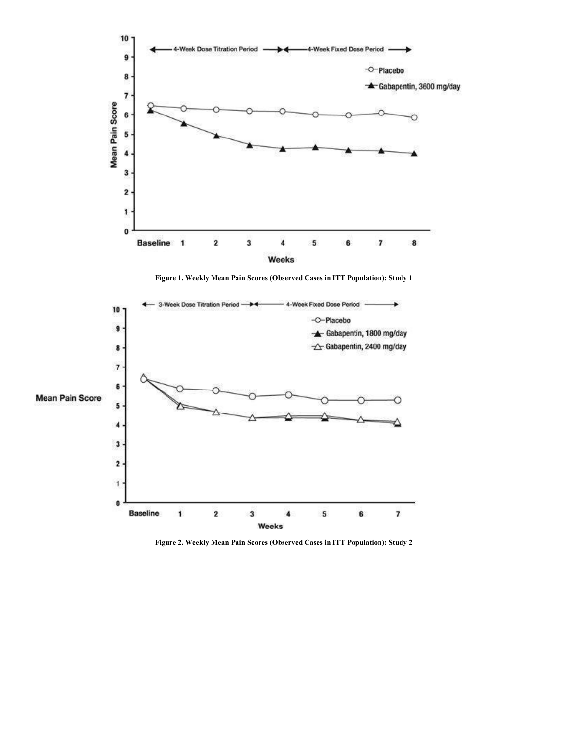

**Figure 1. Weekly Mean Pain Scores (Observed Cases in ITT Population): Study 1**



**Figure 2. Weekly Mean Pain Scores (Observed Cases in ITT Population): Study 2**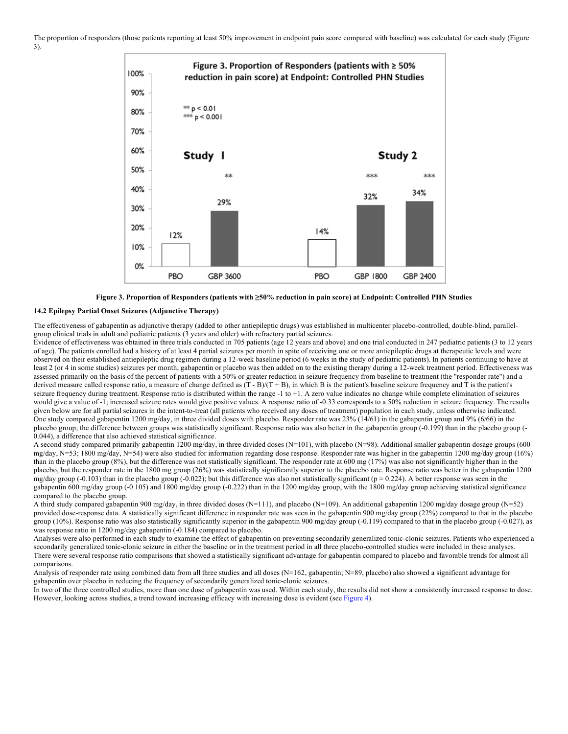



# **14.2 Epilepsy Partial Onset Seizures (Adjunctive Therapy)**

The effectiveness of gabapentin as adjunctive therapy (added to other antiepileptic drugs) was established in multicenter placebo-controlled, double-blind, parallelgroup clinical trials in adult and pediatric patients (3 years and older) with refractory partial seizures.

Evidence of effectiveness was obtained in three trials conducted in 705 patients (age 12 years and above) and one trial conducted in 247 pediatric patients (3 to 12 years of age). The patients enrolled had a history of at least 4 partial seizures per month in spite of receiving one or more antiepileptic drugs at therapeutic levels and were observed on their established antiepileptic drug regimen during a 12-week baseline period (6 weeks in the study of pediatric patients). In patients continuing to have at least 2 (or 4 in some studies) seizures per month, gabapentin or placebo was then added on to the existing therapy during a 12-week treatment period. Effectiveness was assessed primarily on the basis of the percent of patients with a 50% or greater reduction in seizure frequency from baseline to treatment (the "responder rate") and a derived measure called response ratio, a measure of change defined as  $(T - B)/(T + B)$ , in which B is the patient's baseline seizure frequency and T is the patient's seizure frequency during treatment. Response ratio is distributed within the range -1 to +1. A zero value indicates no change while complete elimination of seizures would give a value of -1; increased seizure rates would give positive values. A response ratio of -0.33 corresponds to a 50% reduction in seizure frequency. The results given below are for all partial seizures in the intent-to-treat (all patients who received any doses of treatment) population in each study, unless otherwise indicated. One study compared gabapentin 1200 mg/day, in three divided doses with placebo. Responder rate was  $23\%$  (14/61) in the gabapentin group and 9% (6/66) in the placebo group; the difference between groups was statistically significant. Response ratio was also better in the gabapentin group (-0.199) than in the placebo group (-0.044), a difference that also achieved statistical significance.

A second study compared primarily gabapentin 1200 mg/day, in three divided doses (N=101), with placebo (N=98). Additional smaller gabapentin dosage groups (600 mg/day, N=53; 1800 mg/day, N=54) were also studied for information regarding dose response. Responder rate was higher in the gabapentin 1200 mg/day group (16%) than in the placebo group (8%), but the difference was not statistically significant. The responder rate at 600 mg (17%) was also not significantly higher than in the placebo, but the responder rate in the 1800 mg group (26%) was statistically significantly superior to the placebo rate. Response ratio was better in the gabapentin 1200 mg/day group  $(-0.103)$  than in the placebo group  $(-0.022)$ ; but this difference was also not statistically significant ( $p = 0.224$ ). A better response was seen in the gabapentin 600 mg/day group (-0.105) and 1800 mg/day group (-0.222) than in the 1200 mg/day group, with the 1800 mg/day group achieving statistical significance compared to the placebo group.

A third study compared gabapentin 900 mg/day, in three divided doses (N=111), and placebo (N=109). An additional gabapentin 1200 mg/day dosage group (N=52) provided dose-response data. A statistically significant difference in responder rate was seen in the gabapentin 900 mg/day group (22%) compared to that in the placebo group (10%). Response ratio was also statistically significantly superior in the gabapentin 900 mg/day group (-0.119) compared to that in the placebo group (-0.027), as was response ratio in 1200 mg/day gabapentin (-0.184) compared to placebo.

Analyses were also performed in each study to examine the effect of gabapentin on preventing secondarily generalized tonic-clonic seizures. Patients who experienced a secondarily generalized tonic-clonic seizure in either the baseline or in the treatment period in all three placebo-controlled studies were included in these analyses. There were several response ratio comparisons that showed a statistically significant advantage for gabapentin compared to placebo and favorable trends for almost all comparisons.

Analysis of responder rate using combined data from all three studies and all doses  $(N=162)$ , gabapentin;  $N=89$ , placebo) also showed a significant advantage for gabapentin over placebo in reducing the frequency of secondarily generalized tonic-clonic seizures.

In two of the three controlled studies, more than one dose of gabapentin was used. Within each study, the results did not show a consistently increased response to dose. However, looking across studies, a trend toward increasing efficacy with increasing dose is evident (see Figure 4).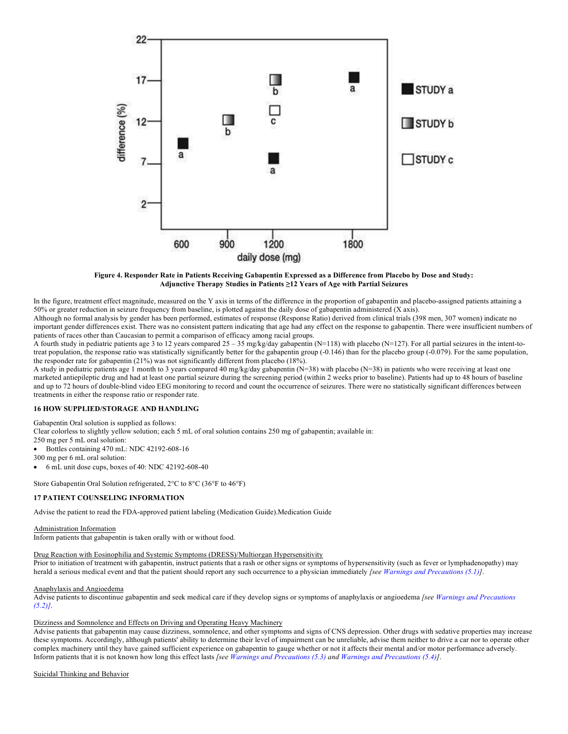

**Figure 4. Responder Rate in Patients Receiving Gabapentin Expressed as a Difference from Placebo by Dose and Study: Adjunctive Therapy Studies in Patients ≥12 Years of Age with Partial Seizures**

In the figure, treatment effect magnitude, measured on the Y axis in terms of the difference in the proportion of gabapentin and placebo-assigned patients attaining a 50% or greater reduction in seizure frequency from baseline, is plotted against the daily dose of gabapentin administered (X axis).

Although no formal analysis by gender has been performed, estimates of response (Response Ratio) derived from clinical trials (398 men, 307 women) indicate no important gender differences exist. There was no consistent pattern indicating that age had any effect on the response to gabapentin. There were insufficient numbers of patients of races other than Caucasian to permit a comparison of efficacy among racial groups.

A fourth study in pediatric patients age 3 to 12 years compared  $25 - 35$  mg/kg/day gabapentin (N=118) with placebo (N=127). For all partial seizures in the intent-totreat population, the response ratio was statistically significantly better for the gabapentin group (-0.146) than for the placebo group (-0.079). For the same population, the responder rate for gabapentin (21%) was not significantly different from placebo (18%).

A study in pediatric patients age 1 month to 3 years compared 40 mg/kg/day gabapentin (N=38) with placebo (N=38) in patients who were receiving at least one marketed antiepileptic drug and had at least one partial seizure during the screening period (within 2 weeks prior to baseline). Patients had up to 48 hours of baseline and up to 72 hours of double-blind video EEG monitoring to record and count the occurrence of seizures. There were no statistically significant differences between treatments in either the response ratio or responder rate.

# **16 HOW SUPPLIED/STORAGE AND HANDLING**

Gabapentin Oral solution is supplied as follows:

Clear colorless to slightly yellow solution; each 5 mL of oral solution contains 250 mg of gabapentin; available in:

250 mg per 5 mL oral solution:

• Bottles containing 470 mL: NDC 42192-608-16

300 mg per 6 mL oral solution:

• 6 mL unit dose cups, boxes of 40: NDC 42192-608-40

Store Gabapentin Oral Solution refrigerated, 2°C to 8°C (36°F to 46°F)

# **17 PATIENT COUNSELING INFORMATION**

Advise the patient to read the FDA-approved patient labeling (Medication Guide).Medication Guide

# Administration Information

Inform patients that gabapentin is taken orally with or without food.

# Drug Reaction with Eosinophilia and Systemic Symptoms (DRESS)/Multiorgan Hypersensitivity

Prior to initiation of treatment with gabapentin, instruct patients that a rash or other signs or symptoms of hypersensitivity (such as fever or lymphadenopathy) may herald a serious medical event and that the patient should report any such occurrence to a physician immediately *[see Warnings and Precautions (5.1)]*.

#### Anaphylaxis and Angioedema

Advise patients to discontinue gabapentin and seek medical care if they develop signs or symptoms of anaphylaxis or angioedema *[see Warnings and Precautions (5.2)]*.

# Dizziness and Somnolence and Effects on Driving and Operating Heavy Machinery

Advise patients that gabapentin may cause dizziness, somnolence, and other symptoms and signs of CNS depression. Other drugs with sedative properties may increase these symptoms. Accordingly, although patients' ability to determine their level of impairment can be unreliable, advise them neither to drive a car nor to operate other complex machinery until they have gained sufficient experience on gabapentin to gauge whether or not it affects their mental and/or motor performance adversely. Inform patients that it is not known how long this effect lasts *[see Warnings and Precautions (5.3) and Warnings and Precautions (5.4)]*.

Suicidal Thinking and Behavior